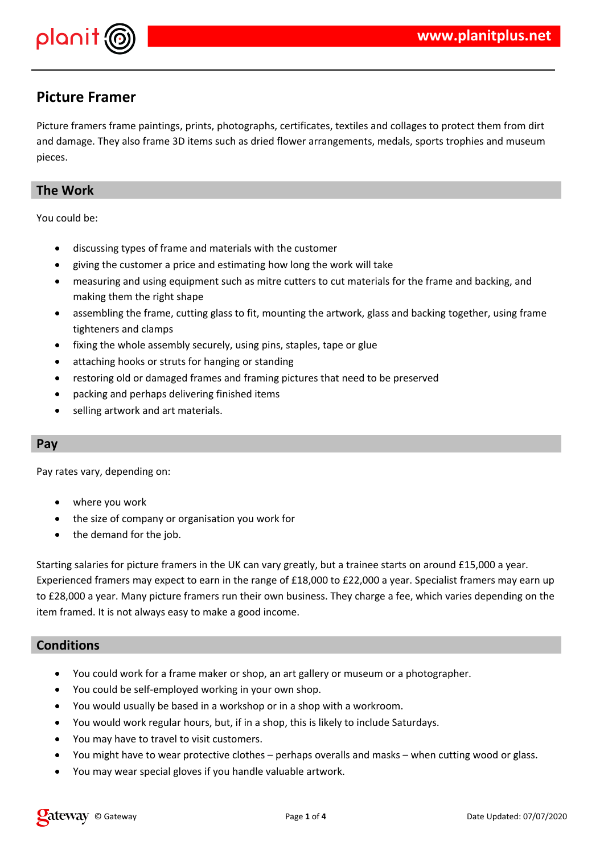

# **Picture Framer**

Picture framers frame paintings, prints, photographs, certificates, textiles and collages to protect them from dirt and damage. They also frame 3D items such as dried flower arrangements, medals, sports trophies and museum pieces.

## **The Work**

You could be:

- discussing types of frame and materials with the customer
- giving the customer a price and estimating how long the work will take
- measuring and using equipment such as mitre cutters to cut materials for the frame and backing, and making them the right shape
- assembling the frame, cutting glass to fit, mounting the artwork, glass and backing together, using frame tighteners and clamps
- fixing the whole assembly securely, using pins, staples, tape or glue
- attaching hooks or struts for hanging or standing
- restoring old or damaged frames and framing pictures that need to be preserved
- packing and perhaps delivering finished items
- selling artwork and art materials.

## **Pay**

Pay rates vary, depending on:

- where you work
- the size of company or organisation you work for
- the demand for the job.

Starting salaries for picture framers in the UK can vary greatly, but a trainee starts on around £15,000 a year. Experienced framers may expect to earn in the range of £18,000 to £22,000 a year. Specialist framers may earn up to £28,000 a year. Many picture framers run their own business. They charge a fee, which varies depending on the item framed. It is not always easy to make a good income.

## **Conditions**

- You could work for a frame maker or shop, an art gallery or museum or a photographer.
- You could be self-employed working in your own shop.
- You would usually be based in a workshop or in a shop with a workroom.
- You would work regular hours, but, if in a shop, this is likely to include Saturdays.
- You may have to travel to visit customers.
- You might have to wear protective clothes perhaps overalls and masks when cutting wood or glass.
- You may wear special gloves if you handle valuable artwork.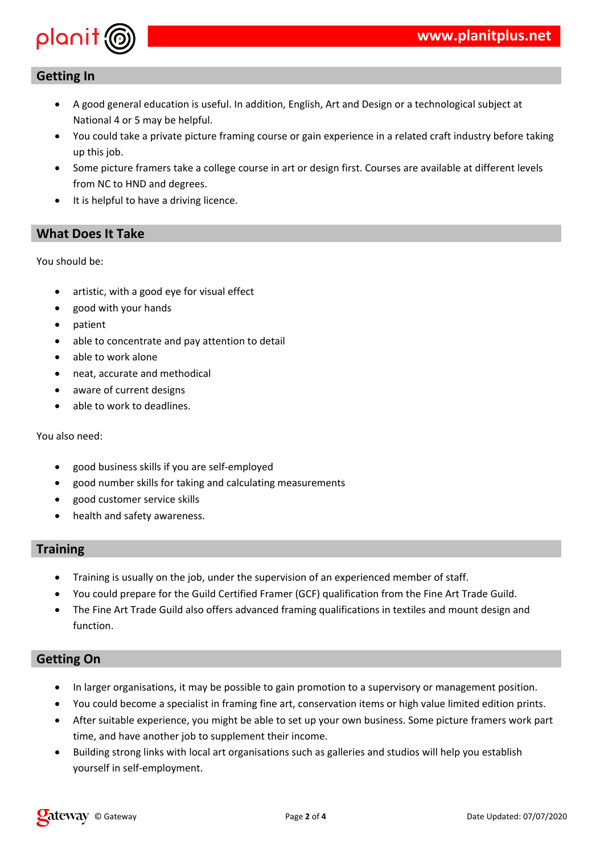

## **Getting In**

- A good general education is useful. In addition, English, Art and Design or a technological subject at National 4 or 5 may be helpful.
- You could take a private picture framing course or gain experience in a related craft industry before taking up this job.
- Some picture framers take a college course in art or design first. Courses are available at different levels from NC to HND and degrees.
- It is helpful to have a driving licence.

## **What Does It Take**

You should be:

- artistic, with a good eye for visual effect
- good with your hands
- patient
- able to concentrate and pay attention to detail
- able to work alone
- neat, accurate and methodical
- aware of current designs
- able to work to deadlines.

You also need:

- good business skills if you are self-employed
- good number skills for taking and calculating measurements
- good customer service skills
- health and safety awareness.

## **Training**

- Training is usually on the job, under the supervision of an experienced member of staff.
- You could prepare for the Guild Certified Framer (GCF) qualification from the Fine Art Trade Guild.
- The Fine Art Trade Guild also offers advanced framing qualifications in textiles and mount design and function.

## **Getting On**

- In larger organisations, it may be possible to gain promotion to a supervisory or management position.
- You could become a specialist in framing fine art, conservation items or high value limited edition prints.
- After suitable experience, you might be able to set up your own business. Some picture framers work part time, and have another job to supplement their income.
- Building strong links with local art organisations such as galleries and studios will help you establish yourself in self-employment.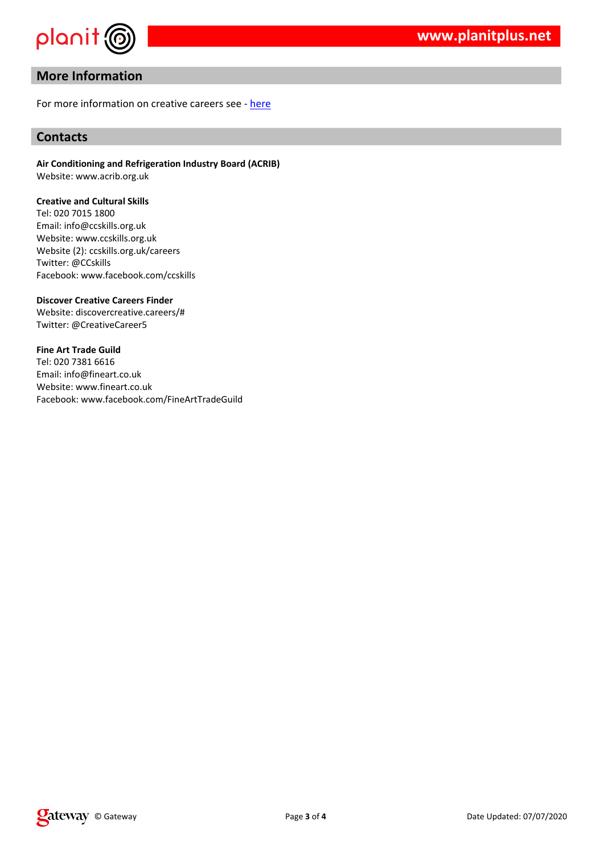$"$  #

%  $3$  $\mathbb{R}^{n+1}$ 

& '\$ % & (  $\begin{array}{c}\n\circ \\
5 \\
\circ\n\end{array}$ %  $\frac{\#}{\$}$  $\infty$  $\begin{array}{ccc} & & & & \\ | & & & \\ | & & & \\ | & & & \\ | & & & \end{array}$ <br>  $\begin{array}{ccc} | & & \\ | & & \\ | & & \end{array}$ <br>  $\begin{array}{ccc} | & & \\ | & & \\ | & & \end{array}$ <br>  $\begin{array}{ccc} | & & \\ | & & \\ | & & \end{array}$  $\begin{bmatrix} -1 & -0 \\ 2 & 8 \\ 8 & 8 \end{bmatrix}$  $\boldsymbol{\alpha}$  $\begin{array}{ccccccc}\n\text{5} & & & \text{6} & & & \text{6} & & \text{6} \\
\text{5} & & & \text{6} & & \text{6} & & \text{6} & & \text{6} \\
\text{6} & & & \text{6} & & \text{6} & & \text{6} & & \text{6} \\
\text{7} & & & \text{8} & & \text{8} & & \text{8} & & \text{8} & \text{8} & \\
\text{8} & & & \text{8} & & \text{8} & & \text{8} & & \text{8} & \\
\end{array}$  $\overline{\text{8}}$  $\&$  $\begin{array}{ccccccccc} &&&&&&&&\\ &&&&&&&&\\ &> &\$ & &&&&&&\\ &> &\$ & &&&&&&\\ &> &\$ & &&&&&&\\ &> &\$ & &&&&&&\\ &> &\$ & &&&&&&\\ &> &\$ & &&&&&&\\ &> &\$ & &&&&&&\\ &> &\$ & &&&&&&\\ &> &\$ & &&&&&&\\ &> &\$ & &&&&&&\\ &> &\$ & &&&&&&\\ \end{array}$  $\circledcirc$